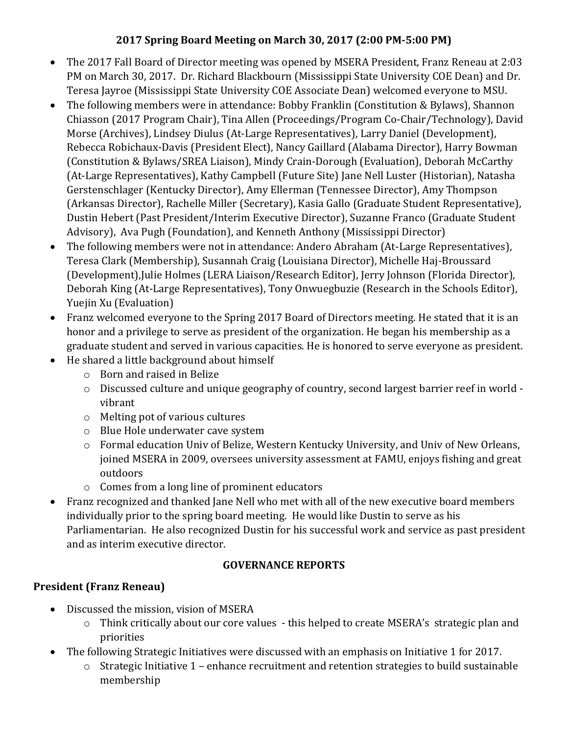## **2017 Spring Board Meeting on March 30, 2017 (2:00 PM-5:00 PM)**

- The 2017 Fall Board of Director meeting was opened by MSERA President, Franz Reneau at 2:03 PM on March 30, 2017. Dr. Richard Blackbourn (Mississippi State University COE Dean) and Dr. Teresa Jayroe (Mississippi State University COE Associate Dean) welcomed everyone to MSU.
- The following members were in attendance: Bobby Franklin (Constitution & Bylaws), Shannon Chiasson (2017 Program Chair), Tina Allen (Proceedings/Program Co-Chair/Technology), David Morse (Archives), Lindsey Diulus (At-Large Representatives), Larry Daniel (Development), Rebecca Robichaux-Davis (President Elect), Nancy Gaillard (Alabama Director), Harry Bowman (Constitution & Bylaws/SREA Liaison), Mindy Crain-Dorough (Evaluation), Deborah McCarthy (At-Large Representatives), Kathy Campbell (Future Site) Jane Nell Luster (Historian), Natasha Gerstenschlager (Kentucky Director), Amy Ellerman (Tennessee Director), Amy Thompson (Arkansas Director), Rachelle Miller (Secretary), Kasia Gallo (Graduate Student Representative), Dustin Hebert (Past President/Interim Executive Director), Suzanne Franco (Graduate Student Advisory), Ava Pugh (Foundation), and Kenneth Anthony (Mississippi Director)
- The following members were not in attendance: Andero Abraham (At-Large Representatives), Teresa Clark (Membership), Susannah Craig (Louisiana Director), Michelle Haj-Broussard (Development),Julie Holmes (LERA Liaison/Research Editor), Jerry Johnson (Florida Director), Deborah King (At-Large Representatives), Tony Onwuegbuzie (Research in the Schools Editor), Yuejin Xu (Evaluation)
- Franz welcomed everyone to the Spring 2017 Board of Directors meeting. He stated that it is an honor and a privilege to serve as president of the organization. He began his membership as a graduate student and served in various capacities. He is honored to serve everyone as president.
- He shared a little background about himself
	- o Born and raised in Belize
	- o Discussed culture and unique geography of country, second largest barrier reef in world vibrant
	- o Melting pot of various cultures
	- o Blue Hole underwater cave system
	- o Formal education Univ of Belize, Western Kentucky University, and Univ of New Orleans, joined MSERA in 2009, oversees university assessment at FAMU, enjoys fishing and great outdoors
	- o Comes from a long line of prominent educators
- Franz recognized and thanked Jane Nell who met with all of the new executive board members individually prior to the spring board meeting. He would like Dustin to serve as his Parliamentarian. He also recognized Dustin for his successful work and service as past president and as interim executive director.

### **GOVERNANCE REPORTS**

# **President (Franz Reneau)**

- Discussed the mission, vision of MSERA
	- o Think critically about our core values this helped to create MSERA's strategic plan and priorities
- The following Strategic Initiatives were discussed with an emphasis on Initiative 1 for 2017.
	- o Strategic Initiative 1 enhance recruitment and retention strategies to build sustainable membership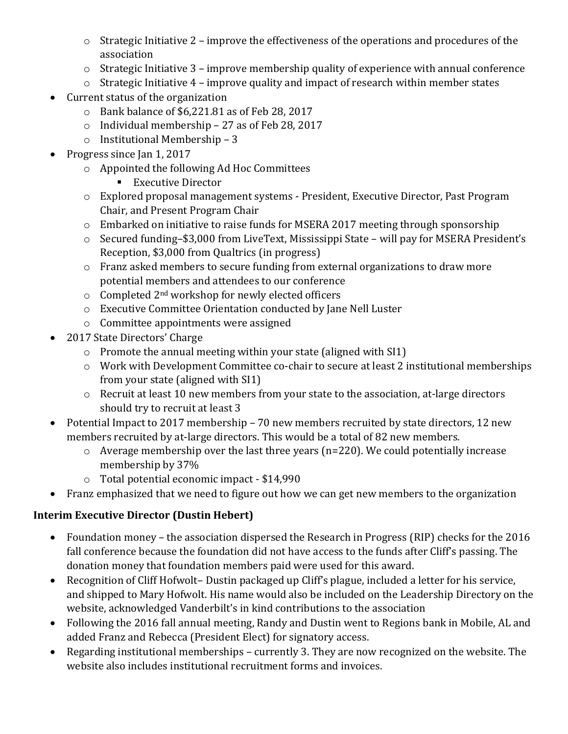- o Strategic Initiative 2 improve the effectiveness of the operations and procedures of the association
- o Strategic Initiative 3 improve membership quality of experience with annual conference
- o Strategic Initiative 4 improve quality and impact of research within member states
- Current status of the organization
	- o Bank balance of \$6,221.81 as of Feb 28, 2017
	- o Individual membership 27 as of Feb 28, 2017
	- o Institutional Membership 3
- Progress since Jan 1, 2017
	- o Appointed the following Ad Hoc Committees
		- Executive Director
	- o Explored proposal management systems President, Executive Director, Past Program Chair, and Present Program Chair
	- o Embarked on initiative to raise funds for MSERA 2017 meeting through sponsorship
	- o Secured funding–\$3,000 from LiveText, Mississippi State will pay for MSERA President's Reception, \$3,000 from Qualtrics (in progress)
	- o Franz asked members to secure funding from external organizations to draw more potential members and attendees to our conference
	- $\circ$  Completed 2<sup>nd</sup> workshop for newly elected officers
	- o Executive Committee Orientation conducted by Jane Nell Luster
	- o Committee appointments were assigned
- 2017 State Directors' Charge
	- o Promote the annual meeting within your state (aligned with SI1)
	- o Work with Development Committee co-chair to secure at least 2 institutional memberships from your state (aligned with SI1)
	- o Recruit at least 10 new members from your state to the association, at-large directors should try to recruit at least 3
- Potential Impact to 2017 membership 70 new members recruited by state directors, 12 new members recruited by at-large directors. This would be a total of 82 new members.
	- o Average membership over the last three years (n=220). We could potentially increase membership by 37%
	- o Total potential economic impact \$14,990
- Franz emphasized that we need to figure out how we can get new members to the organization

# **Interim Executive Director (Dustin Hebert)**

- Foundation money the association dispersed the Research in Progress (RIP) checks for the 2016 fall conference because the foundation did not have access to the funds after Cliff's passing. The donation money that foundation members paid were used for this award.
- Recognition of Cliff Hofwolt-Dustin packaged up Cliff's plague, included a letter for his service, and shipped to Mary Hofwolt. His name would also be included on the Leadership Directory on the website, acknowledged Vanderbilt's in kind contributions to the association
- Following the 2016 fall annual meeting, Randy and Dustin went to Regions bank in Mobile, AL and added Franz and Rebecca (President Elect) for signatory access.
- Regarding institutional memberships currently 3. They are now recognized on the website. The website also includes institutional recruitment forms and invoices.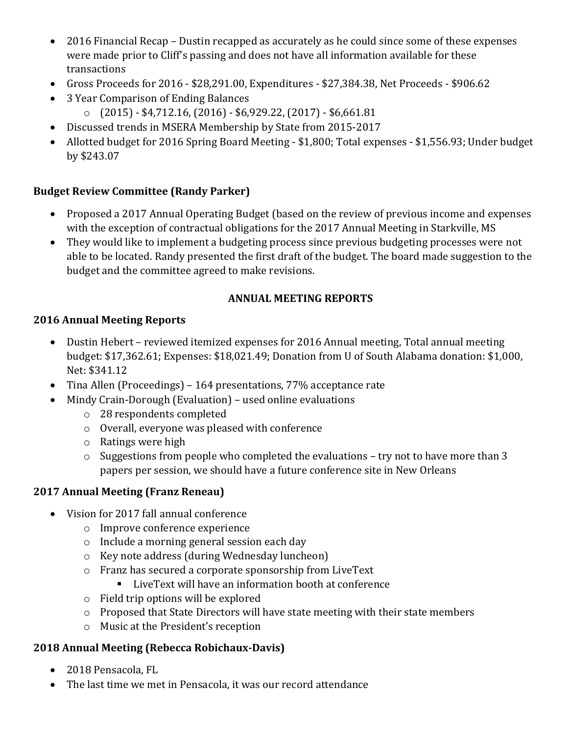- 2016 Financial Recap Dustin recapped as accurately as he could since some of these expenses were made prior to Cliff's passing and does not have all information available for these transactions
- Gross Proceeds for 2016 \$28,291.00, Expenditures \$27,384.38, Net Proceeds \$906.62
- 3 Year Comparison of Ending Balances
	- o (2015) \$4,712.16, (2016) \$6,929.22, (2017) \$6,661.81
- Discussed trends in MSERA Membership by State from 2015-2017
- Allotted budget for 2016 Spring Board Meeting \$1,800; Total expenses \$1,556.93; Under budget by \$243.07

### **Budget Review Committee (Randy Parker)**

- Proposed a 2017 Annual Operating Budget (based on the review of previous income and expenses with the exception of contractual obligations for the 2017 Annual Meeting in Starkville, MS
- They would like to implement a budgeting process since previous budgeting processes were not able to be located. Randy presented the first draft of the budget. The board made suggestion to the budget and the committee agreed to make revisions.

#### **ANNUAL MEETING REPORTS**

#### **2016 Annual Meeting Reports**

- Dustin Hebert reviewed itemized expenses for 2016 Annual meeting, Total annual meeting budget: \$17,362.61; Expenses: \$18,021.49; Donation from U of South Alabama donation: \$1,000, Net: \$341.12
- Tina Allen (Proceedings) 164 presentations, 77% acceptance rate
- Mindy Crain-Dorough (Evaluation) used online evaluations
	- o 28 respondents completed
	- o Overall, everyone was pleased with conference
	- o Ratings were high
	- o Suggestions from people who completed the evaluations try not to have more than 3 papers per session, we should have a future conference site in New Orleans

### **2017 Annual Meeting (Franz Reneau)**

- Vision for 2017 fall annual conference
	- o Improve conference experience
	- o Include a morning general session each day
	- o Key note address (during Wednesday luncheon)
	- o Franz has secured a corporate sponsorship from LiveText
		- LiveText will have an information booth at conference
	- o Field trip options will be explored
	- o Proposed that State Directors will have state meeting with their state members
	- o Music at the President's reception

### **2018 Annual Meeting (Rebecca Robichaux-Davis)**

- 2018 Pensacola, FL
- The last time we met in Pensacola, it was our record attendance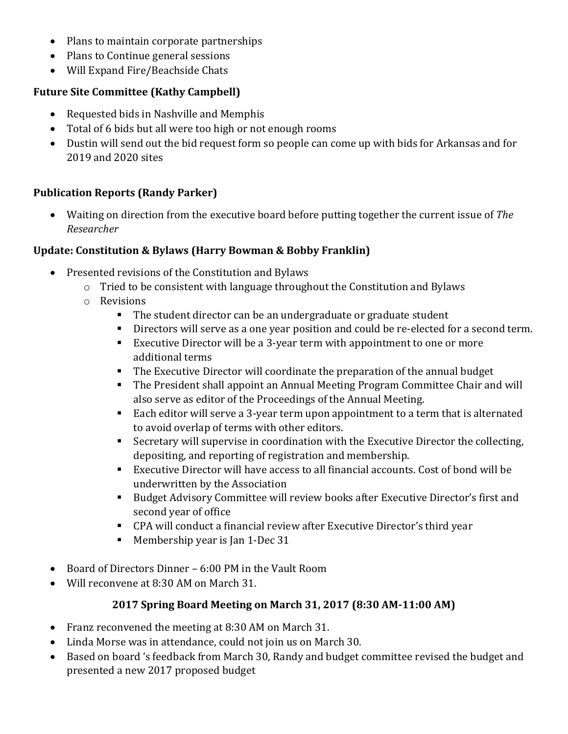- Plans to maintain corporate partnerships
- Plans to Continue general sessions
- Will Expand Fire/Beachside Chats

## **Future Site Committee (Kathy Campbell)**

- Requested bids in Nashville and Memphis
- Total of 6 bids but all were too high or not enough rooms
- Dustin will send out the bid request form so people can come up with bids for Arkansas and for 2019 and 2020 sites

# **Publication Reports (Randy Parker)**

• Waiting on direction from the executive board before putting together the current issue of *The Researcher*

### **Update: Constitution & Bylaws (Harry Bowman & Bobby Franklin)**

- Presented revisions of the Constitution and Bylaws
	- o Tried to be consistent with language throughout the Constitution and Bylaws
	- o Revisions
		- The student director can be an undergraduate or graduate student
		- Directors will serve as a one year position and could be re-elected for a second term.
		- Executive Director will be a 3-year term with appointment to one or more additional terms
		- The Executive Director will coordinate the preparation of the annual budget
		- The President shall appoint an Annual Meeting Program Committee Chair and will also serve as editor of the Proceedings of the Annual Meeting.
		- Each editor will serve a 3-year term upon appointment to a term that is alternated to avoid overlap of terms with other editors.
		- Secretary will supervise in coordination with the Executive Director the collecting, depositing, and reporting of registration and membership.
		- Executive Director will have access to all financial accounts. Cost of bond will be underwritten by the Association
		- Budget Advisory Committee will review books after Executive Director's first and second year of office
		- CPA will conduct a financial review after Executive Director's third year
		- Membership year is Jan 1-Dec 31
- Board of Directors Dinner 6:00 PM in the Vault Room
- Will reconvene at 8:30 AM on March 31.

### **2017 Spring Board Meeting on March 31, 2017 (8:30 AM-11:00 AM)**

- Franz reconvened the meeting at 8:30 AM on March 31.
- Linda Morse was in attendance, could not join us on March 30.
- Based on board 's feedback from March 30, Randy and budget committee revised the budget and presented a new 2017 proposed budget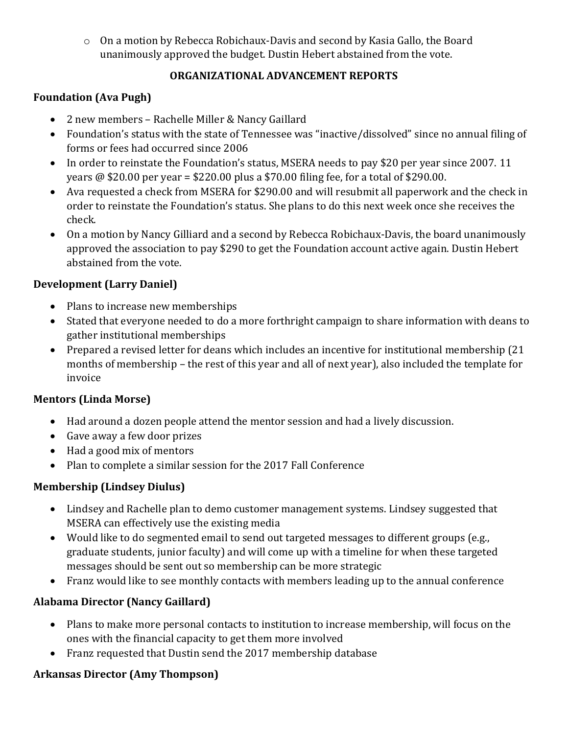o On a motion by Rebecca Robichaux-Davis and second by Kasia Gallo, the Board unanimously approved the budget. Dustin Hebert abstained from the vote.

#### **ORGANIZATIONAL ADVANCEMENT REPORTS**

### **Foundation (Ava Pugh)**

- 2 new members Rachelle Miller & Nancy Gaillard
- Foundation's status with the state of Tennessee was "inactive/dissolved" since no annual filing of forms or fees had occurred since 2006
- In order to reinstate the Foundation's status, MSERA needs to pay \$20 per year since 2007. 11 years @ \$20.00 per year = \$220.00 plus a \$70.00 filing fee, for a total of \$290.00.
- Ava requested a check from MSERA for \$290.00 and will resubmit all paperwork and the check in order to reinstate the Foundation's status. She plans to do this next week once she receives the check.
- On a motion by Nancy Gilliard and a second by Rebecca Robichaux-Davis, the board unanimously approved the association to pay \$290 to get the Foundation account active again. Dustin Hebert abstained from the vote.

#### **Development (Larry Daniel)**

- Plans to increase new memberships
- Stated that everyone needed to do a more forthright campaign to share information with deans to gather institutional memberships
- Prepared a revised letter for deans which includes an incentive for institutional membership (21 months of membership – the rest of this year and all of next year), also included the template for invoice

### **Mentors (Linda Morse)**

- Had around a dozen people attend the mentor session and had a lively discussion.
- Gave away a few door prizes
- Had a good mix of mentors
- Plan to complete a similar session for the 2017 Fall Conference

### **Membership (Lindsey Diulus)**

- Lindsey and Rachelle plan to demo customer management systems. Lindsey suggested that MSERA can effectively use the existing media
- Would like to do segmented email to send out targeted messages to different groups (e.g., graduate students, junior faculty) and will come up with a timeline for when these targeted messages should be sent out so membership can be more strategic
- Franz would like to see monthly contacts with members leading up to the annual conference

### **Alabama Director (Nancy Gaillard)**

- Plans to make more personal contacts to institution to increase membership, will focus on the ones with the financial capacity to get them more involved
- Franz requested that Dustin send the 2017 membership database

# **Arkansas Director (Amy Thompson)**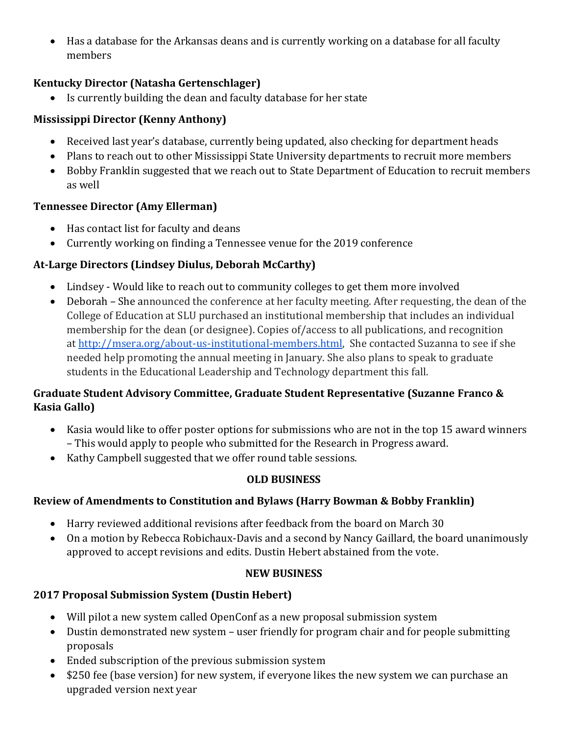• Has a database for the Arkansas deans and is currently working on a database for all faculty members

## **Kentucky Director (Natasha Gertenschlager)**

• Is currently building the dean and faculty database for her state

## **Mississippi Director (Kenny Anthony)**

- Received last year's database, currently being updated, also checking for department heads
- Plans to reach out to other Mississippi State University departments to recruit more members
- Bobby Franklin suggested that we reach out to State Department of Education to recruit members as well

### **Tennessee Director (Amy Ellerman)**

- Has contact list for faculty and deans
- Currently working on finding a Tennessee venue for the 2019 conference

# **At-Large Directors (Lindsey Diulus, Deborah McCarthy)**

- Lindsey Would like to reach out to community colleges to get them more involved
- Deborah She announced the conference at her faculty meeting. After requesting, the dean of the College of Education at SLU purchased an institutional membership that includes an individual membership for the dean (or designee). Copies of/access to all publications, and recognition at [http://msera.org/about-us-institutional-members.html,](http://msera.org/about-us-institutional-members.html) She contacted Suzanna to see if she needed help promoting the annual meeting in January. She also plans to speak to graduate students in the Educational Leadership and Technology department this fall.

### **Graduate Student Advisory Committee, Graduate Student Representative (Suzanne Franco & Kasia Gallo)**

- Kasia would like to offer poster options for submissions who are not in the top 15 award winners – This would apply to people who submitted for the Research in Progress award.
- Kathy Campbell suggested that we offer round table sessions.

### **OLD BUSINESS**

### **Review of Amendments to Constitution and Bylaws (Harry Bowman & Bobby Franklin)**

- Harry reviewed additional revisions after feedback from the board on March 30
- On a motion by Rebecca Robichaux-Davis and a second by Nancy Gaillard, the board unanimously approved to accept revisions and edits. Dustin Hebert abstained from the vote.

#### **NEW BUSINESS**

### **2017 Proposal Submission System (Dustin Hebert)**

- Will pilot a new system called OpenConf as a new proposal submission system
- Dustin demonstrated new system user friendly for program chair and for people submitting proposals
- Ended subscription of the previous submission system
- \$250 fee (base version) for new system, if everyone likes the new system we can purchase an upgraded version next year